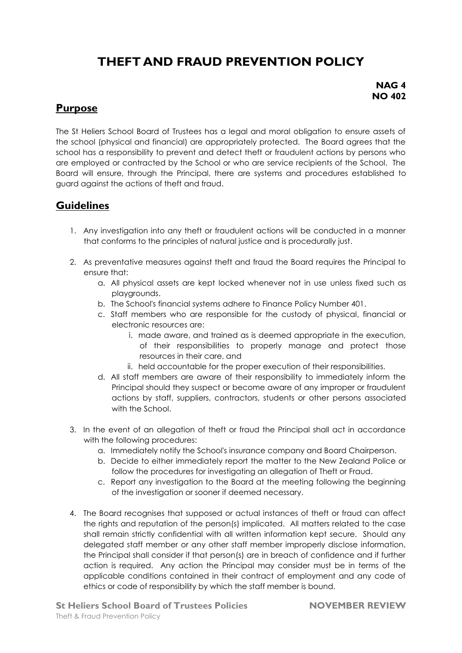# **THEFT AND FRAUD PREVENTION POLICY**

#### **NAG 4 NO 402**

### **Purpose**

The St Heliers School Board of Trustees has a legal and moral obligation to ensure assets of the school (physical and financial) are appropriately protected. The Board agrees that the school has a responsibility to prevent and detect theft or fraudulent actions by persons who are employed or contracted by the School or who are service recipients of the School. The Board will ensure, through the Principal, there are systems and procedures established to guard against the actions of theft and fraud.

### **Guidelines**

- 1. Any investigation into any theft or fraudulent actions will be conducted in a manner that conforms to the principles of natural justice and is procedurally just.
- 2. As preventative measures against theft and fraud the Board requires the Principal to ensure that:
	- a. All physical assets are kept locked whenever not in use unless fixed such as playgrounds.
	- b. The School's financial systems adhere to Finance Policy Number 401.
	- c. Staff members who are responsible for the custody of physical, financial or electronic resources are:
		- i. made aware, and trained as is deemed appropriate in the execution, of their responsibilities to properly manage and protect those resources in their care, and
		- ii. held accountable for the proper execution of their responsibilities.
	- d. All staff members are aware of their responsibility to immediately inform the Principal should they suspect or become aware of any improper or fraudulent actions by staff, suppliers, contractors, students or other persons associated with the School.
- 3. In the event of an allegation of theft or fraud the Principal shall act in accordance with the following procedures:
	- a. Immediately notify the School's insurance company and Board Chairperson.
	- b. Decide to either immediately report the matter to the New Zealand Police or follow the procedures for investigating an allegation of Theft or Fraud.
	- c. Report any investigation to the Board at the meeting following the beginning of the investigation or sooner if deemed necessary.
- 4. The Board recognises that supposed or actual instances of theft or fraud can affect the rights and reputation of the person(s) implicated. All matters related to the case shall remain strictly confidential with all written information kept secure. Should any delegated staff member or any other staff member improperly disclose information, the Principal shall consider if that person(s) are in breach of confidence and if further action is required. Any action the Principal may consider must be in terms of the applicable conditions contained in their contract of employment and any code of ethics or code of responsibility by which the staff member is bound.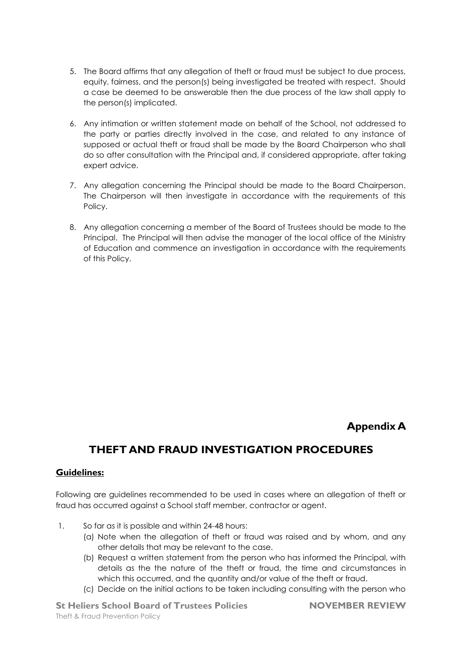- 5. The Board affirms that any allegation of theft or fraud must be subject to due process, equity, fairness, and the person(s) being investigated be treated with respect. Should a case be deemed to be answerable then the due process of the law shall apply to the person(s) implicated.
- 6. Any intimation or written statement made on behalf of the School, not addressed to the party or parties directly involved in the case, and related to any instance of supposed or actual theft or fraud shall be made by the Board Chairperson who shall do so after consultation with the Principal and, if considered appropriate, after taking expert advice.
- 7. Any allegation concerning the Principal should be made to the Board Chairperson. The Chairperson will then investigate in accordance with the requirements of this Policy.
- 8. Any allegation concerning a member of the Board of Trustees should be made to the Principal. The Principal will then advise the manager of the local office of the Ministry of Education and commence an investigation in accordance with the requirements of this Policy.

#### **Appendix A**

## **THEFT AND FRAUD INVESTIGATION PROCEDURES**

#### **Guidelines:**

Following are guidelines recommended to be used in cases where an allegation of theft or fraud has occurred against a School staff member, contractor or agent.

- 1. So far as it is possible and within 24-48 hours:
	- (a) Note when the allegation of theft or fraud was raised and by whom, and any other details that may be relevant to the case.
	- (b) Request a written statement from the person who has informed the Principal, with details as the the nature of the theft or fraud, the time and circumstances in which this occurred, and the quantity and/or value of the theft or fraud.
	- (c) Decide on the initial actions to be taken including consulting with the person who

**St Heliers School Board of Trustees Policies NOVEMBER REVIEW** Theft & Fraud Prevention Policy